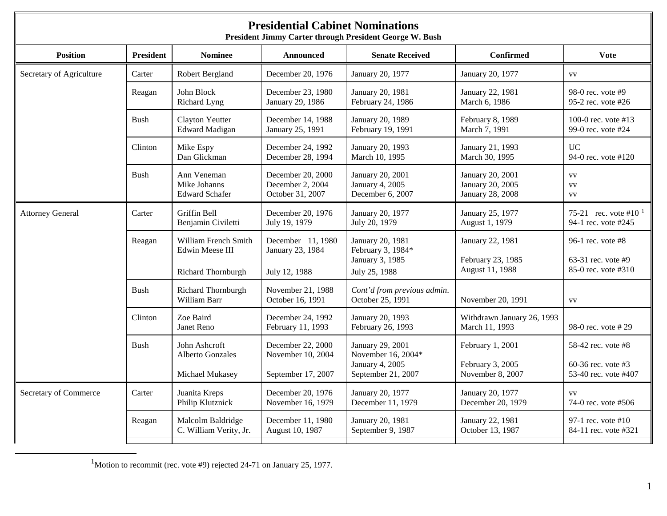<span id="page-0-0"></span>

| <b>Presidential Cabinet Nominations</b><br>President Jimmy Carter through President George W. Bush |                  |                                                             |                                                              |                                                                                 |                                                          |                                                                    |  |  |
|----------------------------------------------------------------------------------------------------|------------------|-------------------------------------------------------------|--------------------------------------------------------------|---------------------------------------------------------------------------------|----------------------------------------------------------|--------------------------------------------------------------------|--|--|
| <b>Position</b>                                                                                    | <b>President</b> | <b>Nominee</b>                                              | <b>Announced</b>                                             | <b>Senate Received</b>                                                          | <b>Confirmed</b>                                         | <b>Vote</b>                                                        |  |  |
| Secretary of Agriculture                                                                           | Carter           | Robert Bergland                                             | December 20, 1976                                            | January 20, 1977                                                                | January 20, 1977                                         | <b>VV</b>                                                          |  |  |
|                                                                                                    | Reagan           | John Block<br>Richard Lyng                                  | December 23, 1980<br>January 29, 1986                        | January 20, 1981<br>February 24, 1986                                           | January 22, 1981<br>March 6, 1986                        | 98-0 rec. vote $#9$<br>95-2 rec. vote #26                          |  |  |
|                                                                                                    | <b>Bush</b>      | <b>Clayton Yeutter</b><br><b>Edward Madigan</b>             | December 14, 1988<br>January 25, 1991                        | January 20, 1989<br>February 19, 1991                                           | February 8, 1989<br>March 7, 1991                        | 100-0 rec. vote #13<br>99-0 rec. vote #24                          |  |  |
|                                                                                                    | Clinton          | Mike Espy<br>Dan Glickman                                   | December 24, 1992<br>December 28, 1994                       | January 20, 1993<br>March 10, 1995                                              | January 21, 1993<br>March 30, 1995                       | <b>UC</b><br>94-0 rec. vote #120                                   |  |  |
|                                                                                                    | Bush             | Ann Veneman<br>Mike Johanns<br><b>Edward Schafer</b>        | December 20, 2000<br>December 2, 2004<br>October 31, 2007    | January 20, 2001<br>January 4, 2005<br>December 6, 2007                         | January 20, 2001<br>January 20, 2005<br>January 28, 2008 | <b>VV</b><br><b>VV</b><br><b>VV</b>                                |  |  |
| <b>Attorney General</b>                                                                            | Carter           | Griffin Bell<br>Benjamin Civiletti                          | December 20, 1976<br>July 19, 1979                           | January 20, 1977<br>July 20, 1979                                               | January 25, 1977<br>August 1, 1979                       | 75-21 rec. vote #10 $^{-1}$<br>94-1 rec. vote #245                 |  |  |
|                                                                                                    | Reagan           | William French Smith<br>Edwin Meese III                     | December 11, 1980<br>January 23, 1984                        | January 20, 1981<br>February 3, 1984*<br>January 3, 1985                        | January 22, 1981<br>February 23, 1985<br>August 11, 1988 | 96-1 rec. vote $#8$<br>63-31 rec. vote $#9$<br>85-0 rec. vote #310 |  |  |
|                                                                                                    |                  | Richard Thornburgh                                          | July 12, 1988                                                | July 25, 1988                                                                   |                                                          |                                                                    |  |  |
|                                                                                                    | <b>Bush</b>      | Richard Thornburgh<br>William Barr                          | November 21, 1988<br>October 16, 1991                        | Cont'd from previous admin.<br>October 25, 1991                                 | November 20, 1991                                        | <b>VV</b>                                                          |  |  |
|                                                                                                    | Clinton          | Zoe Baird<br><b>Janet Reno</b>                              | December 24, 1992<br>February 11, 1993                       | January 20, 1993<br>February 26, 1993                                           | Withdrawn January 26, 1993<br>March 11, 1993             | 98-0 rec. vote #29                                                 |  |  |
|                                                                                                    | <b>Bush</b>      | John Ashcroft<br><b>Alberto Gonzales</b><br>Michael Mukasey | December 22, 2000<br>November 10, 2004<br>September 17, 2007 | January 29, 2001<br>November 16, 2004*<br>January 4, 2005<br>September 21, 2007 | February 1, 2001<br>February 3, 2005<br>November 8, 2007 | 58-42 rec. vote #8<br>60-36 rec. vote #3<br>53-40 rec. vote #407   |  |  |
| Secretary of Commerce                                                                              | Carter           | Juanita Kreps<br>Philip Klutznick                           | December 20, 1976<br>November 16, 1979                       | January 20, 1977<br>December 11, 1979                                           | January 20, 1977<br>December 20, 1979                    | <b>VV</b><br>74-0 rec. vote #506                                   |  |  |
|                                                                                                    | Reagan           | Malcolm Baldridge<br>C. William Verity, Jr.                 | December 11, 1980<br>August 10, 1987                         | January 20, 1981<br>September 9, 1987                                           | January 22, 1981<br>October 13, 1987                     | 97-1 rec. vote #10<br>84-11 rec. vote #321                         |  |  |

<u>1</u> <sup>1</sup>Motion to recommit (rec. vote #9) rejected 24-71 on January 25, 1977.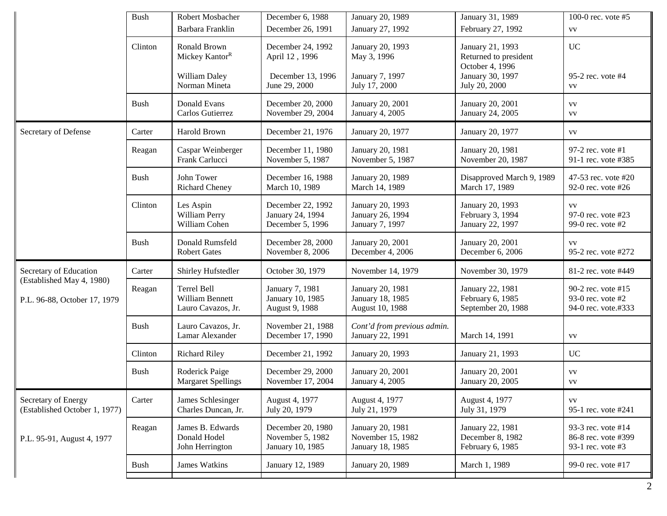|                                                           | <b>Bush</b> | Robert Mosbacher<br>Barbara Franklin                                         | December 6, 1988<br>December 26, 1991                                     | January 20, 1989<br>January 27, 1992                                | January 31, 1989<br>February 27, 1992                                                             | 100-0 rec. vote #5<br><b>VV</b>                                |
|-----------------------------------------------------------|-------------|------------------------------------------------------------------------------|---------------------------------------------------------------------------|---------------------------------------------------------------------|---------------------------------------------------------------------------------------------------|----------------------------------------------------------------|
|                                                           | Clinton     | Ronald Brown<br>Mickey Kantor <sup>R</sup><br>William Daley<br>Norman Mineta | December 24, 1992<br>April 12, 1996<br>December 13, 1996<br>June 29, 2000 | January 20, 1993<br>May 3, 1996<br>January 7, 1997<br>July 17, 2000 | January 21, 1993<br>Returned to president<br>October 4, 1996<br>January 30, 1997<br>July 20, 2000 | <b>UC</b><br>95-2 rec. vote #4<br>VV                           |
|                                                           | <b>Bush</b> | Donald Evans<br>Carlos Gutierrez                                             | December 20, 2000<br>November 29, 2004                                    | January 20, 2001<br>January 4, 2005                                 | January 20, 2001<br>January 24, 2005                                                              | <b>VV</b><br>VV                                                |
| Secretary of Defense                                      | Carter      | Harold Brown                                                                 | December 21, 1976                                                         | January 20, 1977                                                    | January 20, 1977                                                                                  | VV                                                             |
|                                                           | Reagan      | Caspar Weinberger<br>Frank Carlucci                                          | December 11, 1980<br>November 5, 1987                                     | January 20, 1981<br>November 5, 1987                                | January 20, 1981<br>November 20, 1987                                                             | 97-2 rec. vote #1<br>91-1 rec. vote #385                       |
|                                                           | <b>Bush</b> | John Tower<br><b>Richard Cheney</b>                                          | December 16, 1988<br>March 10, 1989                                       | January 20, 1989<br>March 14, 1989                                  | Disapproved March 9, 1989<br>March 17, 1989                                                       | 47-53 rec. vote #20<br>92-0 rec. vote #26                      |
|                                                           | Clinton     | Les Aspin<br>William Perry<br>William Cohen                                  | December 22, 1992<br>January 24, 1994<br>December 5, 1996                 | January 20, 1993<br>January 26, 1994<br>January 7, 1997             | January 20, 1993<br>February 3, 1994<br>January 22, 1997                                          | <b>VV</b><br>97-0 rec. vote #23<br>99-0 rec. vote #2           |
|                                                           | <b>Bush</b> | Donald Rumsfeld<br><b>Robert Gates</b>                                       | December 28, 2000<br>November 8, 2006                                     | January 20, 2001<br>December 4, 2006                                | January 20, 2001<br>December 6, 2006                                                              | VV<br>95-2 rec. vote #272                                      |
| Secretary of Education                                    | Carter      | Shirley Hufstedler                                                           | October 30, 1979                                                          | November 14, 1979                                                   | November 30, 1979                                                                                 | 81-2 rec. vote #449                                            |
| (Established May 4, 1980)<br>P.L. 96-88, October 17, 1979 | Reagan      | Terrel Bell<br>William Bennett<br>Lauro Cavazos, Jr.                         | January 7, 1981<br>January 10, 1985<br>August 9, 1988                     | January 20, 1981<br>January 18, 1985<br>August 10, 1988             | January 22, 1981<br>February 6, 1985<br>September 20, 1988                                        | 90-2 rec. vote #15<br>93-0 rec. vote #2<br>94-0 rec. vote.#333 |
|                                                           | <b>Bush</b> | Lauro Cavazos, Jr.<br>Lamar Alexander                                        | November 21, 1988<br>December 17, 1990                                    | Cont'd from previous admin.<br>January 22, 1991                     | March 14, 1991                                                                                    | ${\rm VV}$                                                     |
|                                                           | Clinton     | <b>Richard Riley</b>                                                         | December 21, 1992                                                         | January 20, 1993                                                    | January 21, 1993                                                                                  | <b>UC</b>                                                      |
|                                                           | <b>Bush</b> | Roderick Paige<br><b>Margaret Spellings</b>                                  | December 29, 2000<br>November 17, 2004                                    | January 20, 2001<br>January 4, 2005                                 | January 20, 2001<br>January 20, 2005                                                              | <b>VV</b><br><b>VV</b>                                         |
| Secretary of Energy<br>(Established October 1, 1977)      | Carter      | James Schlesinger<br>Charles Duncan, Jr.                                     | August 4, 1977<br>July 20, 1979                                           | August 4, 1977<br>July 21, 1979                                     | August 4, 1977<br>July 31, 1979                                                                   | VV<br>95-1 rec. vote #241                                      |
| P.L. 95-91, August 4, 1977                                | Reagan      | James B. Edwards<br>Donald Hodel<br>John Herrington                          | December 20, 1980<br>November 5, 1982<br>January 10, 1985                 | January 20, 1981<br>November 15, 1982<br>January 18, 1985           | January 22, 1981<br>December 8, 1982<br>February 6, 1985                                          | 93-3 rec. vote #14<br>86-8 rec. vote #399<br>93-1 rec. vote #3 |
|                                                           | Bush        | James Watkins                                                                | January 12, 1989                                                          | January 20, 1989                                                    | March 1, 1989                                                                                     | 99-0 rec. vote #17                                             |
|                                                           |             |                                                                              |                                                                           |                                                                     |                                                                                                   |                                                                |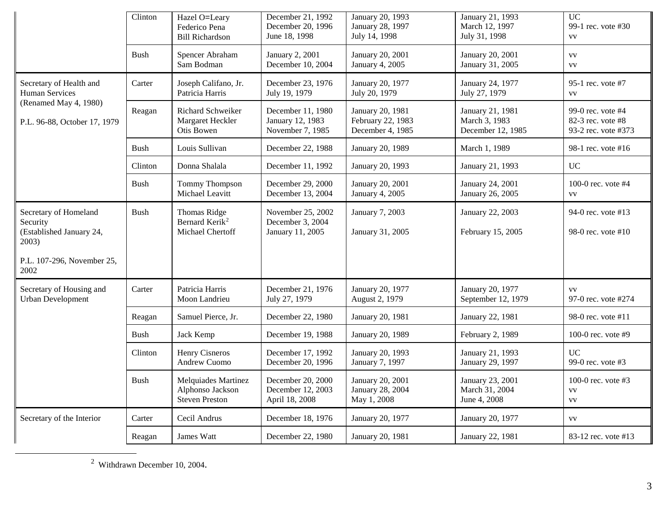<span id="page-2-0"></span>

|                                                                        | Clinton     | Hazel O=Leary<br>Federico Pena<br><b>Bill Richardson</b>              | December 21, 1992<br>December 20, 1996<br>June 18, 1998   | January 20, 1993<br>January 28, 1997<br>July 14, 1998     | January 21, 1993<br>March 12, 1997<br>July 31, 1998    | <b>UC</b><br>99-1 rec. vote #30<br><b>VV</b>                  |
|------------------------------------------------------------------------|-------------|-----------------------------------------------------------------------|-----------------------------------------------------------|-----------------------------------------------------------|--------------------------------------------------------|---------------------------------------------------------------|
|                                                                        | Bush        | Spencer Abraham<br>Sam Bodman                                         | January 2, 2001<br>December 10, 2004                      | January 20, 2001<br>January 4, 2005                       | January 20, 2001<br>January 31, 2005                   | <b>VV</b><br><b>VV</b>                                        |
| Secretary of Health and<br>Human Services                              | Carter      | Joseph Califano, Jr.<br>Patricia Harris                               | December 23, 1976<br>July 19, 1979                        | January 20, 1977<br>July 20, 1979                         | January 24, 1977<br>July 27, 1979                      | 95-1 rec. vote #7<br><b>VV</b>                                |
| (Renamed May 4, 1980)<br>P.L. 96-88, October 17, 1979                  | Reagan      | Richard Schweiker<br>Margaret Heckler<br>Otis Bowen                   | December 11, 1980<br>January 12, 1983<br>November 7, 1985 | January 20, 1981<br>February 22, 1983<br>December 4, 1985 | January 21, 1981<br>March 3, 1983<br>December 12, 1985 | 99-0 rec. vote #4<br>82-3 rec. vote #8<br>93-2 rec. vote #373 |
|                                                                        | Bush        | Louis Sullivan                                                        | December 22, 1988                                         | January 20, 1989                                          | March 1, 1989                                          | 98-1 rec. vote #16                                            |
|                                                                        | Clinton     | Donna Shalala                                                         | December 11, 1992                                         | January 20, 1993                                          | January 21, 1993                                       | <b>UC</b>                                                     |
|                                                                        | Bush        | <b>Tommy Thompson</b><br>Michael Leavitt                              | December 29, 2000<br>December 13, 2004                    | January 20, 2001<br>January 4, 2005                       | January 24, 2001<br>January 26, 2005                   | 100-0 rec. vote $#4$<br><b>VV</b>                             |
| Secretary of Homeland<br>Security<br>(Established January 24,<br>2003) | <b>Bush</b> | <b>Thomas Ridge</b><br>Bernard Kerik <sup>2</sup><br>Michael Chertoff | November 25, 2002<br>December 3, 2004<br>January 11, 2005 | January 7, 2003<br>January 31, 2005                       | January 22, 2003<br>February 15, 2005                  | 94-0 rec. vote #13<br>98-0 rec. vote #10                      |
| P.L. 107-296, November 25,<br>2002                                     |             |                                                                       |                                                           |                                                           |                                                        |                                                               |
| Secretary of Housing and<br><b>Urban Development</b>                   | Carter      | Patricia Harris<br>Moon Landrieu                                      | December 21, 1976<br>July 27, 1979                        | January 20, 1977<br>August 2, 1979                        | January 20, 1977<br>September 12, 1979                 | <b>VV</b><br>97-0 rec. vote #274                              |
|                                                                        | Reagan      | Samuel Pierce, Jr.                                                    | December 22, 1980                                         | January 20, 1981                                          | January 22, 1981                                       | 98-0 rec. vote #11                                            |
|                                                                        | Bush        | Jack Kemp                                                             | December 19, 1988                                         | January 20, 1989                                          | February 2, 1989                                       | 100-0 rec. vote #9                                            |
|                                                                        | Clinton     | Henry Cisneros<br><b>Andrew Cuomo</b>                                 | December 17, 1992<br>December 20, 1996                    | January 20, 1993<br>January 7, 1997                       | January 21, 1993<br>January 29, 1997                   | <b>UC</b><br>99-0 rec. vote #3                                |
|                                                                        | Bush        | Melquiades Martinez<br>Alphonso Jackson<br><b>Steven Preston</b>      | December 20, 2000<br>December 12, 2003<br>April 18, 2008  | January 20, 2001<br>January 28, 2004<br>May 1, 2008       | January 23, 2001<br>March 31, 2004<br>June 4, 2008     | 100-0 rec. vote $#3$<br><b>VV</b><br><b>VV</b>                |
| Secretary of the Interior                                              | Carter      | Cecil Andrus                                                          | December 18, 1976                                         | January 20, 1977                                          | January 20, 1977                                       | <b>VV</b>                                                     |
|                                                                        | Reagan      | James Watt                                                            | December 22, 1980                                         | January 20, 1981                                          | January 22, 1981                                       | 83-12 rec. vote #13                                           |

2 Withdrawn December 10, 2004.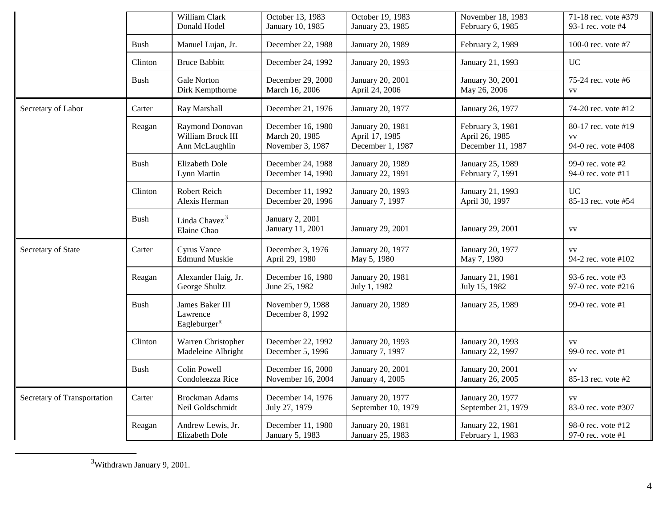<span id="page-3-0"></span>

|                             |             | William Clark<br>Donald Hodel                           | October 13, 1983<br>January 10, 1985                    | October 19, 1983<br>January 23, 1985                   | November 18, 1983<br>February 6, 1985                   | 71-18 rec. vote #379<br>93-1 rec. vote #4               |
|-----------------------------|-------------|---------------------------------------------------------|---------------------------------------------------------|--------------------------------------------------------|---------------------------------------------------------|---------------------------------------------------------|
|                             | Bush        | Manuel Lujan, Jr.                                       | December 22, 1988                                       | January 20, 1989                                       | February 2, 1989                                        | 100-0 rec. vote $#7$                                    |
|                             | Clinton     | <b>Bruce Babbitt</b>                                    | December 24, 1992                                       | January 20, 1993                                       | January 21, 1993                                        | <b>UC</b>                                               |
|                             | Bush        | Gale Norton<br>Dirk Kempthorne                          | December 29, 2000<br>March 16, 2006                     | January 20, 2001<br>April 24, 2006                     | January 30, 2001<br>May 26, 2006                        | 75-24 rec. vote #6<br><b>VV</b>                         |
| Secretary of Labor          | Carter      | Ray Marshall                                            | December 21, 1976                                       | January 20, 1977                                       | January 26, 1977                                        | 74-20 rec. vote #12                                     |
|                             | Reagan      | Raymond Donovan<br>William Brock III<br>Ann McLaughlin  | December 16, 1980<br>March 20, 1985<br>November 3, 1987 | January 20, 1981<br>April 17, 1985<br>December 1, 1987 | February 3, 1981<br>April 26, 1985<br>December 11, 1987 | 80-17 rec. vote #19<br><b>VV</b><br>94-0 rec. vote #408 |
|                             | Bush        | Elizabeth Dole<br>Lynn Martin                           | December 24, 1988<br>December 14, 1990                  | January 20, 1989<br>January 22, 1991                   | January 25, 1989<br>February 7, 1991                    | 99-0 rec. vote $#2$<br>94-0 rec. vote #11               |
|                             | Clinton     | Robert Reich<br>Alexis Herman                           | December 11, 1992<br>December 20, 1996                  | January 20, 1993<br>January 7, 1997                    | January 21, 1993<br>April 30, 1997                      | <b>UC</b><br>85-13 rec. vote #54                        |
|                             | <b>Bush</b> | Linda Chavez <sup>3</sup><br>Elaine Chao                | January 2, 2001<br>January 11, 2001                     | January 29, 2001                                       | January 29, 2001                                        | <b>VV</b>                                               |
| Secretary of State          | Carter      | <b>Cyrus Vance</b><br><b>Edmund Muskie</b>              | December 3, 1976<br>April 29, 1980                      | January 20, 1977<br>May 5, 1980                        | January 20, 1977<br>May 7, 1980                         | <b>VV</b><br>94-2 rec. vote #102                        |
|                             | Reagan      | Alexander Haig, Jr.<br>George Shultz                    | December 16, 1980<br>June 25, 1982                      | January 20, 1981<br>July 1, 1982                       | January 21, 1981<br>July 15, 1982                       | 93-6 rec. vote #3<br>97-0 rec. vote #216                |
|                             | Bush        | James Baker III<br>Lawrence<br>Eagleburger <sup>R</sup> | November 9, 1988<br>December 8, 1992                    | January 20, 1989                                       | January 25, 1989                                        | 99-0 rec. vote $#1$                                     |
|                             | Clinton     | Warren Christopher<br>Madeleine Albright                | December 22, 1992<br>December 5, 1996                   | January 20, 1993<br>January 7, 1997                    | January 20, 1993<br>January 22, 1997                    | <b>VV</b><br>99-0 rec. vote #1                          |
|                             | Bush        | Colin Powell<br>Condoleezza Rice                        | December 16, 2000<br>November 16, 2004                  | January 20, 2001<br>January 4, 2005                    | January 20, 2001<br>January 26, 2005                    | <b>VV</b><br>85-13 rec. vote #2                         |
| Secretary of Transportation | Carter      | Brockman Adams<br>Neil Goldschmidt                      | December 14, 1976<br>July 27, 1979                      | January 20, 1977<br>September 10, 1979                 | January 20, 1977<br>September 21, 1979                  | <b>VV</b><br>83-0 rec. vote #307                        |
|                             | Reagan      | Andrew Lewis, Jr.<br>Elizabeth Dole                     | December 11, 1980<br>January 5, 1983                    | January 20, 1981<br>January 25, 1983                   | January 22, 1981<br>February 1, 1983                    | 98-0 rec. vote #12<br>97-0 rec. vote #1                 |

 <sup>3</sup>  $^3\!$  Withdrawn January 9, 2001.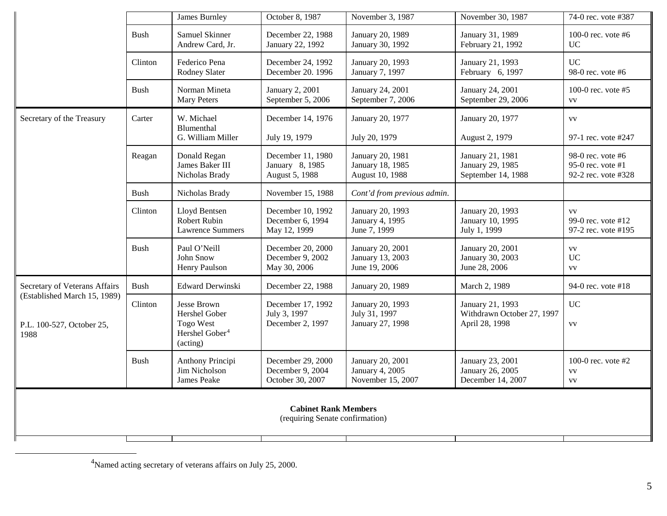<span id="page-4-0"></span>

|                                                                   |             | James Burnley                                                                       | October 8, 1987                                           | November 3, 1987                                         | November 30, 1987                                                | 74-0 rec. vote #387                                             |  |
|-------------------------------------------------------------------|-------------|-------------------------------------------------------------------------------------|-----------------------------------------------------------|----------------------------------------------------------|------------------------------------------------------------------|-----------------------------------------------------------------|--|
|                                                                   | <b>Bush</b> | Samuel Skinner<br>Andrew Card, Jr.                                                  | December 22, 1988<br>January 22, 1992                     | January 20, 1989<br>January 30, 1992                     | January 31, 1989<br>February 21, 1992                            | 100-0 rec. vote $#6$<br><b>UC</b>                               |  |
|                                                                   | Clinton     | Federico Pena<br>Rodney Slater                                                      | December 24, 1992<br>December 20. 1996                    | January 20, 1993<br>January 7, 1997                      | January 21, 1993<br>February 6, 1997                             | <b>UC</b><br>98-0 rec. vote $#6$                                |  |
|                                                                   | <b>Bush</b> | Norman Mineta<br><b>Mary Peters</b>                                                 | January 2, 2001<br>September 5, 2006                      | January 24, 2001<br>September 7, 2006                    | January 24, 2001<br>September 29, 2006                           | 100-0 rec. vote $#5$<br><b>VV</b>                               |  |
| Secretary of the Treasury                                         | Carter      | W. Michael<br>Blumenthal<br>G. William Miller                                       | December 14, 1976<br>July 19, 1979                        | January 20, 1977<br>July 20, 1979                        | January 20, 1977<br>August 2, 1979                               | <b>VV</b><br>97-1 rec. vote #247                                |  |
|                                                                   | Reagan      | Donald Regan<br>James Baker III<br>Nicholas Brady                                   | December 11, 1980<br>January 8, 1985<br>August 5, 1988    | January 20, 1981<br>January 18, 1985<br>August 10, 1988  | January 21, 1981<br>January 29, 1985<br>September 14, 1988       | 98-0 rec. vote $#6$<br>95-0 rec. vote #1<br>92-2 rec. vote #328 |  |
|                                                                   | Bush        | Nicholas Brady                                                                      | November 15, 1988                                         | Cont'd from previous admin.                              |                                                                  |                                                                 |  |
|                                                                   | Clinton     | Lloyd Bentsen<br>Robert Rubin<br><b>Lawrence Summers</b>                            | December 10, 1992<br>December 6, 1994<br>May 12, 1999     | January 20, 1993<br>January 4, 1995<br>June 7, 1999      | January 20, 1993<br>January 10, 1995<br>July 1, 1999             | <b>VV</b><br>99-0 rec. vote #12<br>97-2 rec. vote #195          |  |
|                                                                   | <b>Bush</b> | Paul O'Neill<br>John Snow<br>Henry Paulson                                          | December 20, 2000<br>December 9, 2002<br>May 30, 2006     | January 20, 2001<br>January 13, 2003<br>June 19, 2006    | January 20, 2001<br>January 30, 2003<br>June 28, 2006            | <b>VV</b><br><b>UC</b><br><b>VV</b>                             |  |
| Secretary of Veterans Affairs                                     | <b>Bush</b> | <b>Edward Derwinski</b>                                                             | December 22, 1988                                         | January 20, 1989                                         | March 2, 1989                                                    | 94-0 rec. vote #18                                              |  |
| (Established March 15, 1989)<br>P.L. 100-527, October 25,<br>1988 | Clinton     | Jesse Brown<br>Hershel Gober<br>Togo West<br>Hershel Gober <sup>4</sup><br>(acting) | December 17, 1992<br>July 3, 1997<br>December 2, 1997     | January 20, 1993<br>July 31, 1997<br>January 27, 1998    | January 21, 1993<br>Withdrawn October 27, 1997<br>April 28, 1998 | <b>UC</b><br><b>VV</b>                                          |  |
|                                                                   | <b>Bush</b> | Anthony Principi<br>Jim Nicholson<br>James Peake                                    | December 29, 2000<br>December 9, 2004<br>October 30, 2007 | January 20, 2001<br>January 4, 2005<br>November 15, 2007 | January 23, 2001<br>January 26, 2005<br>December 14, 2007        | 100-0 rec. vote $#2$<br><b>VV</b><br><b>VV</b>                  |  |
| <b>Cabinet Rank Members</b><br>(requiring Senate confirmation)    |             |                                                                                     |                                                           |                                                          |                                                                  |                                                                 |  |

 <sup>4</sup> Named acting secretary of veterans affairs on July 25, 2000.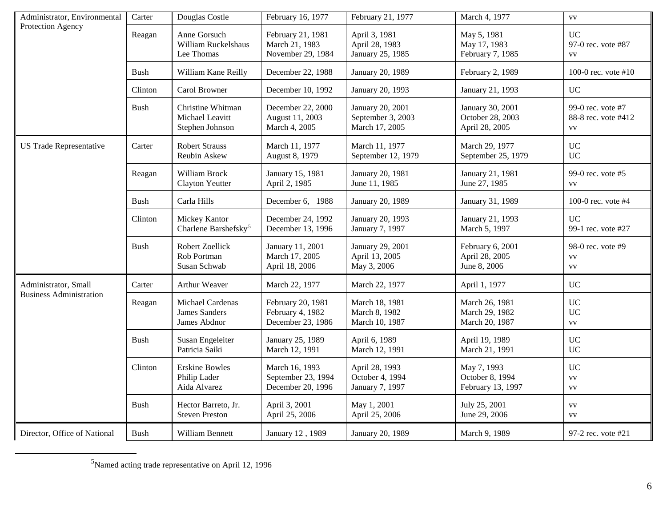<span id="page-5-0"></span>

| Administrator, Environmental   | Carter      | Douglas Costle                                           | February 16, 1977                                          | February 21, 1977                                       | March 4, 1977                                          | <b>VV</b>                                             |
|--------------------------------|-------------|----------------------------------------------------------|------------------------------------------------------------|---------------------------------------------------------|--------------------------------------------------------|-------------------------------------------------------|
| Protection Agency              | Reagan      | Anne Gorsuch<br>William Ruckelshaus<br>Lee Thomas        | February 21, 1981<br>March 21, 1983<br>November 29, 1984   | April 3, 1981<br>April 28, 1983<br>January 25, 1985     | May 5, 1981<br>May 17, 1983<br>February 7, 1985        | <b>UC</b><br>97-0 rec. vote #87<br><b>VV</b>          |
|                                | Bush        | William Kane Reilly                                      | December 22, 1988                                          | January 20, 1989                                        | February 2, 1989                                       | 100-0 rec. vote $#10$                                 |
|                                | Clinton     | Carol Browner                                            | December 10, 1992                                          | January 20, 1993                                        | January 21, 1993                                       | <b>UC</b>                                             |
|                                | <b>Bush</b> | Christine Whitman<br>Michael Leavitt<br>Stephen Johnson  | December 22, 2000<br>August 11, 2003<br>March 4, 2005      | January 20, 2001<br>September 3, 2003<br>March 17, 2005 | January 30, 2001<br>October 28, 2003<br>April 28, 2005 | 99-0 rec. vote #7<br>88-8 rec. vote #412<br><b>VV</b> |
| <b>US Trade Representative</b> | Carter      | <b>Robert Strauss</b><br>Reubin Askew                    | March 11, 1977<br>August 8, 1979                           | March 11, 1977<br>September 12, 1979                    | March 29, 1977<br>September 25, 1979                   | <b>UC</b><br><b>UC</b>                                |
|                                | Reagan      | William Brock<br><b>Clayton Yeutter</b>                  | January 15, 1981<br>April 2, 1985                          | January 20, 1981<br>June 11, 1985                       | January 21, 1981<br>June 27, 1985                      | 99-0 rec. vote #5<br><b>VV</b>                        |
|                                | Bush        | Carla Hills                                              | December 6, 1988                                           | January 20, 1989                                        | January 31, 1989                                       | 100-0 rec. vote #4                                    |
|                                | Clinton     | Mickey Kantor<br>Charlene Barshefsky <sup>5</sup>        | December 24, 1992<br>December 13, 1996                     | January 20, 1993<br>January 7, 1997                     | January 21, 1993<br>March 5, 1997                      | <b>UC</b><br>99-1 rec. vote #27                       |
|                                | <b>Bush</b> | Robert Zoellick<br>Rob Portman<br>Susan Schwab           | January 11, 2001<br>March 17, 2005<br>April 18, 2006       | January 29, 2001<br>April 13, 2005<br>May 3, 2006       | February 6, 2001<br>April 28, 2005<br>June 8, 2006     | 98-0 rec. vote #9<br><b>VV</b><br><b>VV</b>           |
| Administrator, Small           | Carter      | Arthur Weaver                                            | March 22, 1977                                             | March 22, 1977                                          | April 1, 1977                                          | <b>UC</b>                                             |
| <b>Business Administration</b> | Reagan      | Michael Cardenas<br><b>James Sanders</b><br>James Abdnor | February 20, 1981<br>February 4, 1982<br>December 23, 1986 | March 18, 1981<br>March 8, 1982<br>March 10, 1987       | March 26, 1981<br>March 29, 1982<br>March 20, 1987     | <b>UC</b><br><b>UC</b><br><b>VV</b>                   |
|                                | <b>Bush</b> | Susan Engeleiter<br>Patricia Saiki                       | January 25, 1989<br>March 12, 1991                         | April 6, 1989<br>March 12, 1991                         | April 19, 1989<br>March 21, 1991                       | <b>UC</b><br><b>UC</b>                                |
|                                | Clinton     | <b>Erskine Bowles</b><br>Philip Lader<br>Aida Alvarez    | March 16, 1993<br>September 23, 1994<br>December 20, 1996  | April 28, 1993<br>October 4, 1994<br>January 7, 1997    | May 7, 1993<br>October 8, 1994<br>February 13, 1997    | <b>UC</b><br>${\bf V}{\bf V}$<br><b>VV</b>            |
|                                | <b>Bush</b> | Hector Barreto, Jr.<br><b>Steven Preston</b>             | April 3, 2001<br>April 25, 2006                            | May 1, 2001<br>April 25, 2006                           | July 25, 2001<br>June 29, 2006                         | <b>VV</b><br><b>VV</b>                                |
| Director, Office of National   | Bush        | William Bennett                                          | January 12, 1989                                           | January 20, 1989                                        | March 9, 1989                                          | 97-2 rec. vote #21                                    |

 $\frac{1}{5}$ Named acting trade representative on April 12, 1996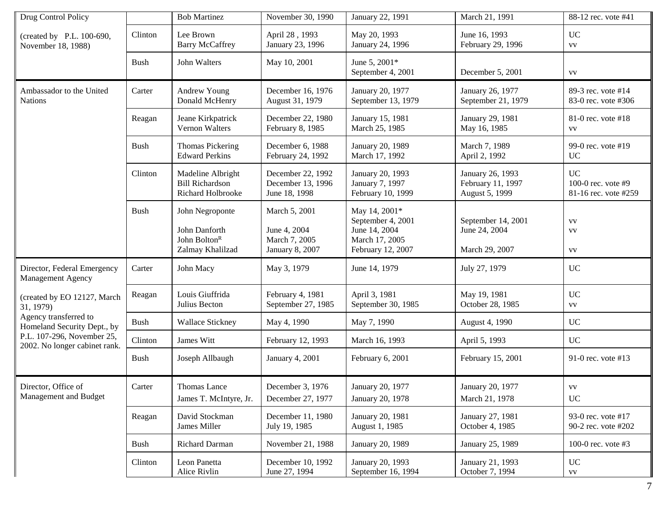| Drug Control Policy                                         |             | <b>Bob Martinez</b>                                                              | November 30, 1990                                                 | January 22, 1991                                                                           | March 21, 1991                                          | 88-12 rec. vote #41                                       |
|-------------------------------------------------------------|-------------|----------------------------------------------------------------------------------|-------------------------------------------------------------------|--------------------------------------------------------------------------------------------|---------------------------------------------------------|-----------------------------------------------------------|
| (created by P.L. 100-690,<br>November 18, 1988)             | Clinton     | Lee Brown<br><b>Barry McCaffrey</b>                                              | April 28, 1993<br>January 23, 1996                                | May 20, 1993<br>January 24, 1996                                                           | June 16, 1993<br>February 29, 1996                      | <b>UC</b><br><b>VV</b>                                    |
|                                                             | <b>Bush</b> | John Walters                                                                     | May 10, 2001                                                      | June 5, 2001*<br>September 4, 2001                                                         | December 5, 2001                                        | <b>VV</b>                                                 |
| Ambassador to the United<br><b>Nations</b>                  | Carter      | Andrew Young<br>Donald McHenry                                                   | December 16, 1976<br>August 31, 1979                              | January 20, 1977<br>September 13, 1979                                                     | January 26, 1977<br>September 21, 1979                  | 89-3 rec. vote #14<br>83-0 rec. vote #306                 |
|                                                             | Reagan      | Jeane Kirkpatrick<br>Vernon Walters                                              | December 22, 1980<br>February 8, 1985                             | January 15, 1981<br>March 25, 1985                                                         | January 29, 1981<br>May 16, 1985                        | 81-0 rec. vote #18<br><b>VV</b>                           |
|                                                             | <b>Bush</b> | <b>Thomas Pickering</b><br><b>Edward Perkins</b>                                 | December 6, 1988<br>February 24, 1992                             | January 20, 1989<br>March 17, 1992                                                         | March 7, 1989<br>April 2, 1992                          | 99-0 rec. vote #19<br><b>UC</b>                           |
|                                                             | Clinton     | Madeline Albright<br><b>Bill Richardson</b><br>Richard Holbrooke                 | December 22, 1992<br>December 13, 1996<br>June 18, 1998           | January 20, 1993<br>January 7, 1997<br>February 10, 1999                                   | January 26, 1993<br>February 11, 1997<br>August 5, 1999 | <b>UC</b><br>100-0 rec. vote $#9$<br>81-16 rec. vote #259 |
|                                                             | <b>Bush</b> | John Negroponte<br>John Danforth<br>John Bolton <sup>R</sup><br>Zalmay Khalilzad | March 5, 2001<br>June 4, 2004<br>March 7, 2005<br>January 8, 2007 | May 14, 2001*<br>September 4, 2001<br>June 14, 2004<br>March 17, 2005<br>February 12, 2007 | September 14, 2001<br>June 24, 2004<br>March 29, 2007   | <b>VV</b><br><b>VV</b><br><b>VV</b>                       |
| Director, Federal Emergency<br>Management Agency            | Carter      | John Macy                                                                        | May 3, 1979                                                       | June 14, 1979                                                                              | July 27, 1979                                           | <b>UC</b>                                                 |
| (created by EO 12127, March<br>31, 1979)                    | Reagan      | Louis Giuffrida<br>Julius Becton                                                 | February 4, 1981<br>September 27, 1985                            | April 3, 1981<br>September 30, 1985                                                        | May 19, 1981<br>October 28, 1985                        | <b>UC</b><br><b>VV</b>                                    |
| Agency transferred to<br>Homeland Security Dept., by        | <b>Bush</b> | Wallace Stickney                                                                 | May 4, 1990                                                       | May 7, 1990                                                                                | August 4, 1990                                          | <b>UC</b>                                                 |
| P.L. 107-296, November 25,<br>2002. No longer cabinet rank. | Clinton     | James Witt                                                                       | February 12, 1993                                                 | March 16, 1993                                                                             | April 5, 1993                                           | <b>UC</b>                                                 |
|                                                             | <b>Bush</b> | Joseph Allbaugh                                                                  | January 4, 2001                                                   | February 6, 2001                                                                           | February 15, 2001                                       | 91-0 rec. vote #13                                        |
| Director, Office of<br>Management and Budget                | Carter      | Thomas Lance<br>James T. McIntyre, Jr.                                           | December 3, 1976<br>December 27, 1977                             | January 20, 1977<br>January 20, 1978                                                       | January 20, 1977<br>March 21, 1978                      | ${\bf V}{\bf V}$<br><b>UC</b>                             |
|                                                             | Reagan      | David Stockman<br>James Miller                                                   | December 11, 1980<br>July 19, 1985                                | January 20, 1981<br>August 1, 1985                                                         | January 27, 1981<br>October 4, 1985                     | 93-0 rec. vote #17<br>90-2 rec. vote #202                 |
|                                                             | Bush        | Richard Darman                                                                   | November 21, 1988                                                 | January 20, 1989                                                                           | January 25, 1989                                        | 100-0 rec. vote #3                                        |
|                                                             | Clinton     | Leon Panetta<br>Alice Rivlin                                                     | December 10, 1992<br>June 27, 1994                                | January 20, 1993<br>September 16, 1994                                                     | January 21, 1993<br>October 7, 1994                     | UC<br>${\bf V}{\bf V}$                                    |